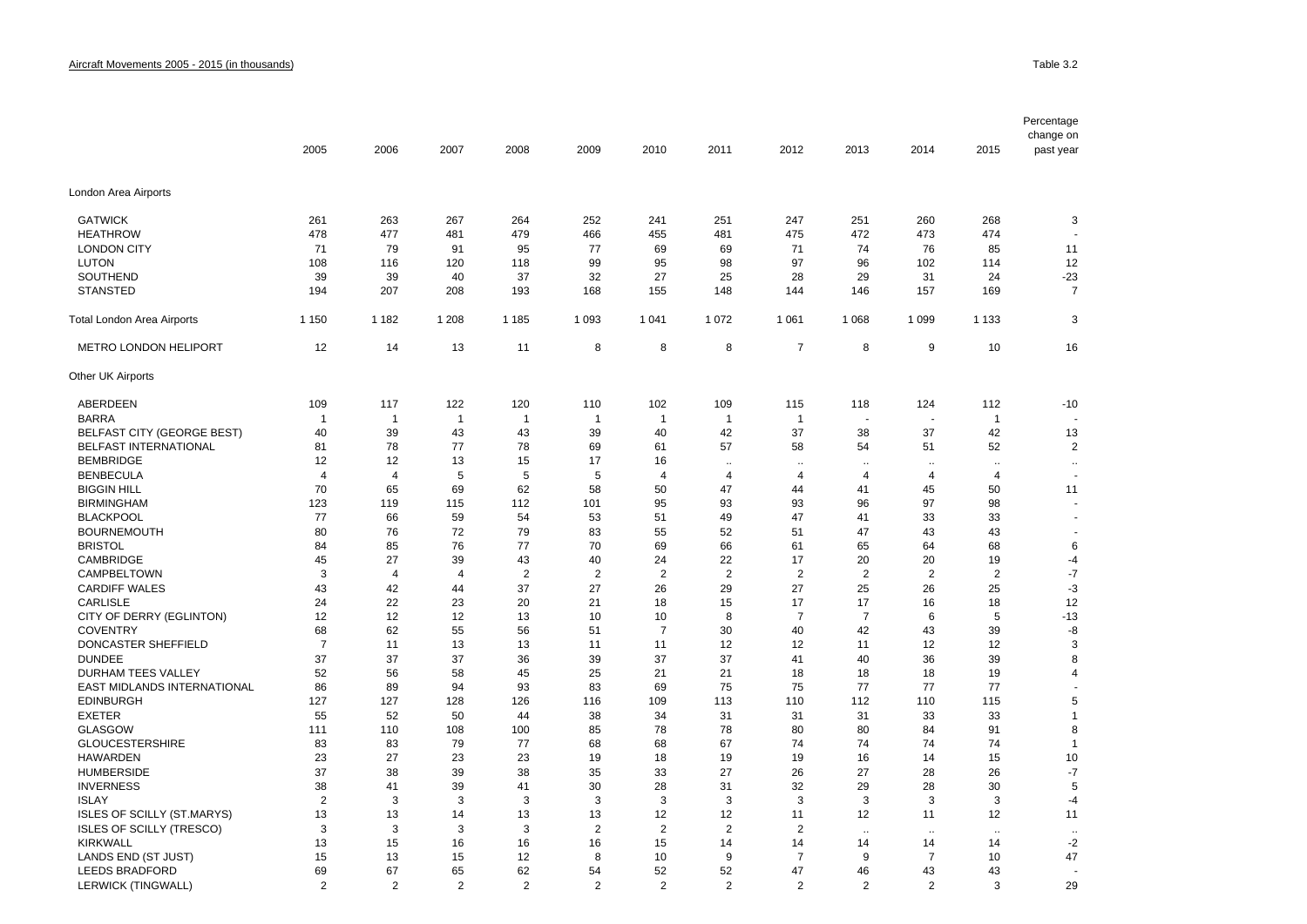|                                    |                |                |                |                |                |                |                      |                      |                |                          |                      | Percentage<br>change on  |
|------------------------------------|----------------|----------------|----------------|----------------|----------------|----------------|----------------------|----------------------|----------------|--------------------------|----------------------|--------------------------|
|                                    | 2005           | 2006           | 2007           | 2008           | 2009           | 2010           | 2011                 | 2012                 | 2013           | 2014                     | 2015                 | past year                |
| London Area Airports               |                |                |                |                |                |                |                      |                      |                |                          |                      |                          |
| <b>GATWICK</b>                     | 261            | 263            | 267            | 264            | 252            | 241            | 251                  | 247                  | 251            | 260                      | 268                  | 3                        |
| <b>HEATHROW</b>                    | 478            | 477            | 481            | 479            | 466            | 455            | 481                  | 475                  | 472            | 473                      | 474                  | $\overline{\phantom{a}}$ |
| <b>LONDON CITY</b>                 | 71             | 79             | 91             | 95             | 77             | 69             | 69                   | 71                   | 74             | 76                       | 85                   | 11                       |
| <b>LUTON</b>                       | 108            | 116            | 120            | 118            | 99             | 95             | 98                   | 97                   | 96             | 102                      | 114                  | 12                       |
| SOUTHEND                           | 39             | 39             | 40             | 37             | 32             | 27             | 25                   | 28                   | 29             | 31                       | 24                   | $-23$                    |
| <b>STANSTED</b>                    | 194            | 207            | 208            | 193            | 168            | 155            | 148                  | 144                  | 146            | 157                      | 169                  | $\overline{7}$           |
| Total London Area Airports         | 1 1 5 0        | 1 1 8 2        | 1 208          | 1 1 8 5        | 1 0 9 3        | 1 0 4 1        | 1 0 7 2              | 1 0 6 1              | 1 0 6 8        | 1 0 9 9                  | 1 1 3 3              | 3                        |
| METRO LONDON HELIPORT              | 12             | 14             | 13             | 11             | 8              | 8              | 8                    | $\overline{7}$       | 8              | 9                        | 10                   | 16                       |
| Other UK Airports                  |                |                |                |                |                |                |                      |                      |                |                          |                      |                          |
| ABERDEEN                           | 109            | 117            | 122            | 120            | 110            | 102            | 109                  | 115                  | 118            | 124                      | 112                  | $-10$                    |
| <b>BARRA</b>                       | $\overline{1}$ | $\overline{1}$ | $\overline{1}$ | $\mathbf{1}$   | $\overline{1}$ | $\mathbf{1}$   | $\mathbf 1$          | $\mathbf{1}$         |                | $\overline{\phantom{a}}$ | $\overline{1}$       |                          |
| <b>BELFAST CITY (GEORGE BEST)</b>  | 40             | 39             | 43             | 43             | 39             | 40             | 42                   | 37                   | 38             | 37                       | 42                   | 13                       |
| BELFAST INTERNATIONAL              | 81             | 78             | 77             | 78             | 69             | 61             | 57                   | 58                   | 54             | 51                       | 52                   | $\overline{2}$           |
| <b>BEMBRIDGE</b>                   | 12             | 12             | 13             | 15             | 17             | 16             | $\ddot{\phantom{a}}$ | $\ddot{\phantom{a}}$ |                | $\ddotsc$                | $\ddot{\phantom{a}}$ | $\ddot{\phantom{a}}$     |
| <b>BENBECULA</b>                   | $\overline{4}$ | $\overline{4}$ | 5              | 5              | 5              | 4              | 4                    | 4                    | 4              | $\overline{4}$           | $\overline{4}$       | $\overline{\phantom{a}}$ |
| <b>BIGGIN HILL</b>                 | 70             | 65             | 69             | 62             | 58             | 50             | 47                   | 44                   | 41             | 45                       | 50                   | 11                       |
| <b>BIRMINGHAM</b>                  | 123            | 119            | 115            | 112            | 101            | 95             | 93                   | 93                   | 96             | 97                       | 98                   |                          |
| <b>BLACKPOOL</b>                   | 77             | 66             | 59             | 54             | 53             | 51             | 49                   | 47                   | 41             | 33                       | 33                   | ÷.                       |
| <b>BOURNEMOUTH</b>                 | 80             | 76             | 72             | 79             | 83             | 55             | 52                   | 51                   | 47             | 43                       | 43                   |                          |
| <b>BRISTOL</b>                     | 84             | 85             | 76             | 77             | 70             | 69             | 66                   | 61                   | 65             | 64                       | 68                   | 6                        |
| CAMBRIDGE                          | 45             | 27             | 39             | 43             | 40             | 24             | 22                   | 17                   | 20             | 20                       | 19                   | -4                       |
| CAMPBELTOWN                        | 3              | $\overline{4}$ | $\overline{4}$ | $\overline{2}$ | $\overline{2}$ | $\overline{2}$ | $\overline{2}$       | 2                    | $\overline{2}$ | $\overline{2}$           | $\overline{2}$       | $-7$                     |
| <b>CARDIFF WALES</b>               | 43             | 42             | 44             | 37             | 27             | 26             | 29                   | 27                   | 25             | 26                       | 25                   | $-3$                     |
| <b>CARLISLE</b>                    | 24             | 22             | 23             | 20             | 21             | 18             | 15                   | 17                   | 17             | 16                       | 18                   | 12                       |
| CITY OF DERRY (EGLINTON)           | 12             | 12             | 12             | 13             | 10             | 10             | 8                    | $\overline{7}$       | $\overline{7}$ | 6                        | 5                    | $-13$                    |
| <b>COVENTRY</b>                    | 68             | 62             | 55             | 56             | 51             | $\overline{7}$ | 30                   | 40                   | 42             | 43                       | 39                   | -8                       |
| DONCASTER SHEFFIELD                | $\overline{7}$ | 11             | 13             | 13             | 11             | 11             | 12                   | 12                   | 11             | 12                       | 12                   | 3                        |
| <b>DUNDEE</b>                      | 37             | 37             | 37             | 36             | 39             | 37             | 37                   | 41                   | 40             | 36                       | 39                   | 8                        |
| <b>DURHAM TEES VALLEY</b>          | 52             | 56             | 58             | 45             | 25             | 21             | 21                   | 18                   | 18             | 18                       | 19                   | $\overline{4}$           |
| <b>EAST MIDLANDS INTERNATIONAL</b> | 86             | 89             | 94             | 93             | 83             | 69             | 75                   | 75                   | 77             | 77                       | 77                   |                          |
| <b>EDINBURGH</b>                   | 127            | 127            | 128            | 126            | 116            | 109            | 113                  | 110                  | 112            | 110                      | 115                  | 5                        |
| <b>EXETER</b>                      | 55             | 52             | 50             | 44             | 38             | 34             | 31                   | 31                   | 31             | 33                       | 33                   | 1                        |
| <b>GLASGOW</b>                     | 111            | 110            | 108            | 100            | 85             | 78             | 78                   | 80                   | 80             | 84                       | 91                   | 8                        |
| <b>GLOUCESTERSHIRE</b>             | 83             | 83             | 79             | 77             | 68             | 68             | 67                   | 74                   | 74             | 74                       | 74                   | $\mathbf{1}$             |
| <b>HAWARDEN</b>                    | 23             | 27             | 23             | 23             | 19             | 18             | 19                   | 19                   | 16             | 14                       | 15                   | 10                       |
| <b>HUMBERSIDE</b>                  | 37             | 38             | 39             | 38             | 35             | 33             | 27                   | 26                   | 27             | 28                       | 26                   | -7                       |
| <b>INVERNESS</b>                   | 38             | 41             | 39             | 41             | 30             | 28             | 31                   | 32                   | 29             | 28                       | 30                   | 5                        |
| <b>ISLAY</b>                       | $\overline{2}$ | 3              | 3              | 3              | 3              | 3              | 3                    | 3                    | 3              | 3                        | 3                    | $-4$                     |
| <b>ISLES OF SCILLY (ST.MARYS)</b>  | 13             | 13             | 14             | 13             | 13             | 12             | 12                   | 11                   | 12             | 11                       | 12                   | 11                       |
| <b>ISLES OF SCILLY (TRESCO)</b>    | 3              | 3              | 3              | 3              | $\overline{2}$ | 2              | $\overline{2}$       | 2                    |                |                          |                      |                          |
| <b>KIRKWALL</b>                    | 13             | 15             | 16             | 16             | 16             | 15             | 14                   | 14                   | 14             | 14                       | 14                   | $-2$                     |
| LANDS END (ST JUST)                | 15             | 13             | 15             | 12             | 8              | 10             | 9                    | 7                    | 9              | 7                        | 10                   | 47                       |
| LEEDS BRADFORD                     | 69             | 67             | 65             | 62             | 54             | 52             | 52                   | 47                   | 46             | 43                       | 43                   |                          |
| LERWICK (TINGWALL)                 | $\overline{2}$ | $\overline{2}$ | $\overline{2}$ | $\overline{2}$ | $\overline{2}$ | $\overline{2}$ | $\overline{2}$       | $\overline{2}$       | $\overline{2}$ | $\overline{2}$           | 3                    | 29                       |
|                                    |                |                |                |                |                |                |                      |                      |                |                          |                      |                          |